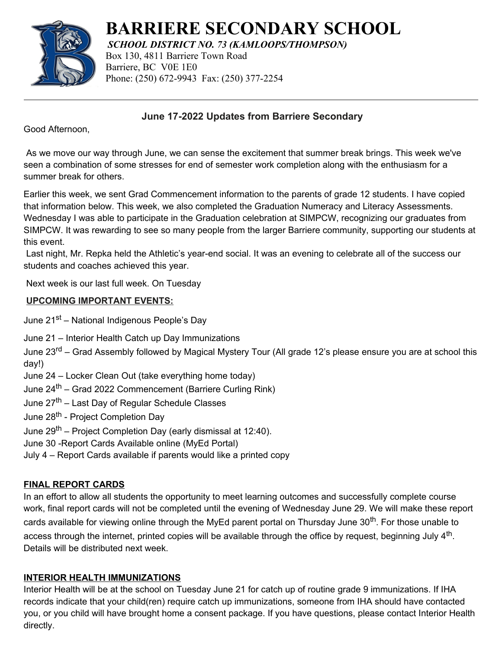

**BARRIERE SECONDARY SCHOOL**

*SCHOOL DISTRICT NO. 73 (KAMLOOPS/THOMPSON)*

Box 130, 4811 Barriere Town Road Barriere, BC V0E 1E0 Phone: (250) 672-9943 Fax: (250) 377-2254

 **June 17-2022 Updates from Barriere Secondary**

Good Afternoon,

As we move our way through June, we can sense the excitement that summer break brings. This week we've seen a combination of some stresses for end of semester work completion along with the enthusiasm for a summer break for others.

Earlier this week, we sent Grad Commencement information to the parents of grade 12 students. I have copied that information below. This week, we also completed the Graduation Numeracy and Literacy Assessments. Wednesday I was able to participate in the Graduation celebration at SIMPCW, recognizing our graduates from SIMPCW. It was rewarding to see so many people from the larger Barriere community, supporting our students at this event.

Last night, Mr. Repka held the Athletic's year-end social. It was an evening to celebrate all of the success our students and coaches achieved this year.

Next week is our last full week. On Tuesday

## **UPCOMING IMPORTANT EVENTS:**

June 21<sup>st</sup> – National Indigenous People's Day

June 21 – Interior Health Catch up Day Immunizations

June 23<sup>rd</sup> – Grad Assembly followed by Magical Mystery Tour (All grade 12's please ensure you are at school this day!)

- June 24 Locker Clean Out (take everything home today)
- June 24th Grad 2022 Commencement (Barriere Curling Rink)

June 27th – Last Day of Regular Schedule Classes

June 28<sup>th</sup> - Project Completion Day

June 29<sup>th</sup> – Project Completion Day (early dismissal at 12:40).

June 30 -Report Cards Available online (MyEd Portal)

July 4 – Report Cards available if parents would like a printed copy

## **FINAL REPORT CARDS**

In an effort to allow all students the opportunity to meet learning outcomes and successfully complete course work, final report cards will not be completed until the evening of Wednesday June 29. We will make these report cards available for viewing online through the MyEd parent portal on Thursday June 30<sup>th</sup>. For those unable to access through the internet, printed copies will be available through the office by request, beginning July 4<sup>th</sup>. Details will be distributed next week.

## **INTERIOR HEALTH IMMUNIZATIONS**

Interior Health will be at the school on Tuesday June 21 for catch up of routine grade 9 immunizations. If IHA records indicate that your child(ren) require catch up immunizations, someone from IHA should have contacted you, or you child will have brought home a consent package. If you have questions, please contact Interior Health directly.